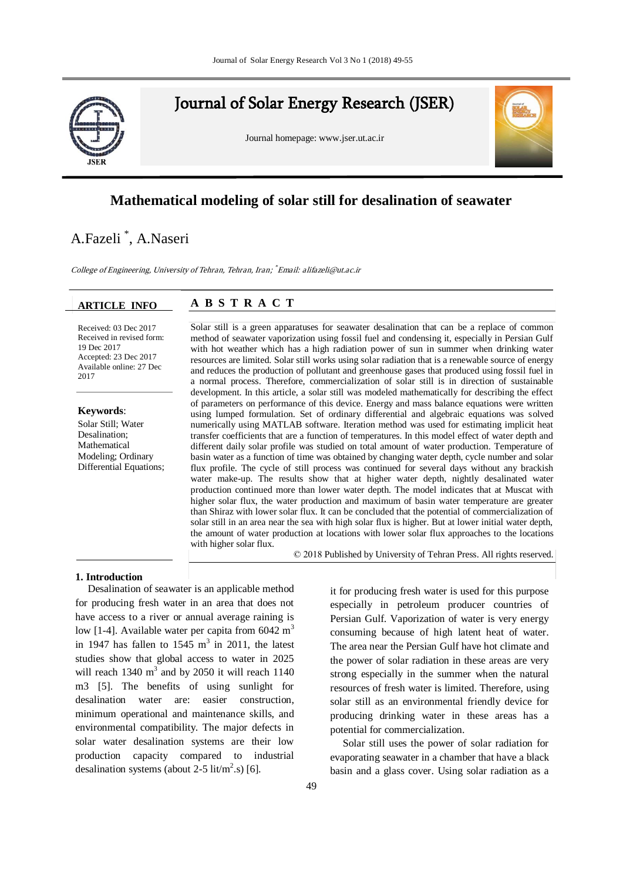

Journal of Solar Energy Research (JSER)

Journal homepage: www.jser.ut.ac.ir



# **Mathematical modeling of solar still for desalination of seawater**

# A.Fazeli \* , A.Naseri

College of Engineering, University of Tehran, Tehran, Iran; \* Email: alifazeli@ut.ac.ir

#### **ARTICLE INFO**

l,

# Second affiliation, Address, City and Postcode, Country **A B S T R A C T**

**Accepted: 23 Dec 2017** Available online: 27 Dec Received in revised form: 2017 Received: 03 Dec 2017 Received in revised form: 19 Dec 2017

Solar Sun, w Mathematical Modeling; Ordinary Differential Equations; **Keywords**: Solar Still; Water

Available online:

with hot weather which has a high radiation power of sun in summer when drinking water a normal process. Therefore, commercialization of solar still is in direction of sustainable development. In this article, a solar surf was modeled mathematically for describing the effect. of parameters on performance of this device. Energy and mass balance equations were written using lumped formulation. Set of ordinary differential and algebraic equations was solved numerically using MATLAB software. Iteration method was used for estimating implicit heat transfer coefficients that are a function of temperatures. In this model effect of water depth and insert of the server of the server of the server of the server of the server of the server of the server of the server of t unterent uairy solar prome was studied on total amount of water production. Temperature of basin water as a function of time was obtained by changing water depth, cycle number and solar  $\mathcal{C}$ flux profile. The cycle of still process was continued for several days without any brackish water make-up. The results show that at insule water depth, instituy described water production continued more than lower water depth. The model indicates that at Muscat with higher solar flux, the water production and maximum of basin water temperature are greater the amount of water production at locations with lower solar flux approaches to the locations with kisher solar flux Solar still is a green apparatuses for seawater desalination that can be a replace of common method of seawater vaporization using fossil fuel and condensing it, especially in Persian Gulf resources are limited. Solar still works using solar radiation that is a renewable source of energy and reduces the production of pollutant and greenhouse gases that produced using fossil fuel in development. In this article, a solar still was modeled mathematically for describing the effect different daily solar profile was studied on total amount of water production. Temperature of water make-up. The results show that at higher water depth, nightly desalinated water than Shiraz with lower solar flux. It can be concluded that the potential of commercialization of solar still in an area near the sea with high solar flux is higher. But at lower initial water depth, with higher solar flux.

© 2018 Published by University of Tehran Press. All rights reserved.

## **1. Introduction**

Desalination of seawater is an applicable method for producing fresh water in an area that does not have access to a river or annual average raining is low [1-4]. Available water per capita from  $6042 \text{ m}^3$ in 1947 has fallen to  $1545 \text{ m}^3$  in 2011, the latest studies show that global access to water in 2025 will reach  $1340 \text{ m}^3$  and by 2050 it will reach  $1140$ m3 [5]. The benefits of using sunlight for desalination water are: easier construction, minimum operational and maintenance skills, and environmental compatibility. The major defects in solar water desalination systems are their low production capacity compared to industrial desalination systems (about 2-5 lit/ $m^2$ .s) [6].

it for producing fresh water is used for this purpose especially in petroleum producer countries of Persian Gulf. Vaporization of water is very energy consuming because of high latent heat of water. The area near the Persian Gulf have hot climate and the power of solar radiation in these areas are very strong especially in the summer when the natural resources of fresh water is limited. Therefore, using solar still as an environmental friendly device for producing drinking water in these areas has a potential for commercialization.

Solar still uses the power of solar radiation for evaporating seawater in a chamber that have a black basin and a glass cover. Using solar radiation as a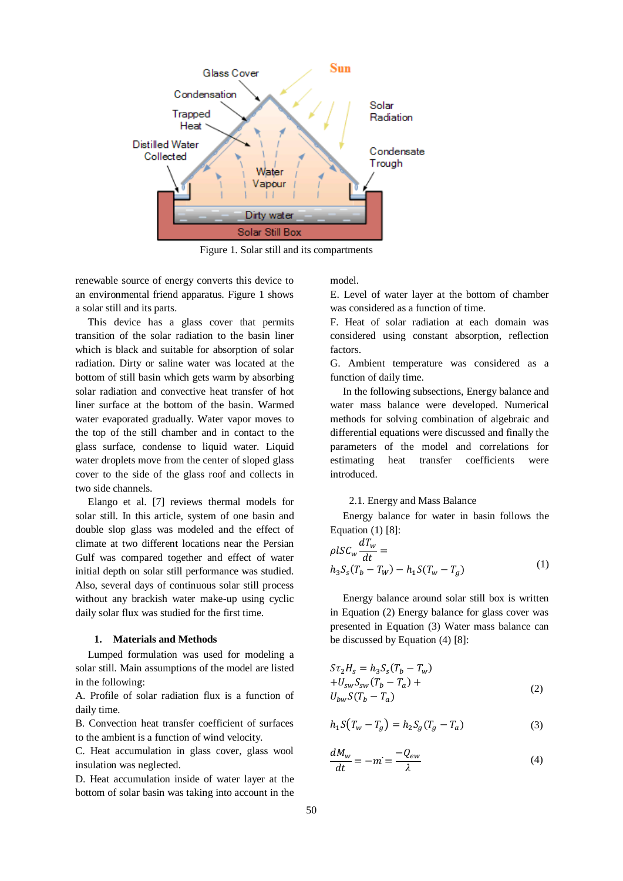

Figure 1. Solar still and its compartments

renewable source of energy converts this device to an environmental friend apparatus. Figure 1 shows a solar still and its parts.

This device has a glass cover that permits transition of the solar radiation to the basin liner which is black and suitable for absorption of solar radiation. Dirty or saline water was located at the bottom of still basin which gets warm by absorbing solar radiation and convective heat transfer of hot liner surface at the bottom of the basin. Warmed water evaporated gradually. Water vapor moves to the top of the still chamber and in contact to the glass surface, condense to liquid water. Liquid water droplets move from the center of sloped glass cover to the side of the glass roof and collects in two side channels.

Elango et al. [7] reviews thermal models for solar still. In this article, system of one basin and double slop glass was modeled and the effect of climate at two different locations near the Persian Gulf was compared together and effect of water initial depth on solar still performance was studied. Also, several days of continuous solar still process without any brackish water make-up using cyclic daily solar flux was studied for the first time.

#### **1. Materials and Methods**

Lumped formulation was used for modeling a solar still. Main assumptions of the model are listed in the following:

A. Profile of solar radiation flux is a function of daily time.

B. Convection heat transfer coefficient of surfaces to the ambient is a function of wind velocity.

C. Heat accumulation in glass cover, glass wool insulation was neglected.

D. Heat accumulation inside of water layer at the bottom of solar basin was taking into account in the

model.

E. Level of water layer at the bottom of chamber was considered as a function of time.

F. Heat of solar radiation at each domain was considered using constant absorption, reflection factors.

G. Ambient temperature was considered as a function of daily time.

In the following subsections, Energy balance and water mass balance were developed. Numerical methods for solving combination of algebraic and differential equations were discussed and finally the parameters of the model and correlations for estimating heat transfer coefficients were introduced.

#### 2.1. Energy and Mass Balance

Energy balance for water in basin follows the Equation (1) [8]:

$$
\rho l S C_w \frac{dT_w}{dt} =
$$
  
\n
$$
h_3 S_s (T_b - T_W) - h_1 S (T_w - T_g)
$$
\n(1)

Energy balance around solar still box is written in Equation (2) Energy balance for glass cover was presented in Equation (3) Water mass balance can be discussed by Equation (4) [8]:

$$
S\tau_2 H_s = h_3 S_s (T_b - T_w)
$$
  
+
$$
U_{sw} S_{sw} (T_b - T_a) +
$$
  

$$
U_{bw} S (T_b - T_a)
$$
 (2)

$$
h_1 S(T_w - T_g) = h_2 S_g (T_g - T_a)
$$
 (3)

$$
\frac{dM_w}{dt} = -m = \frac{-Q_{ew}}{\lambda} \tag{4}
$$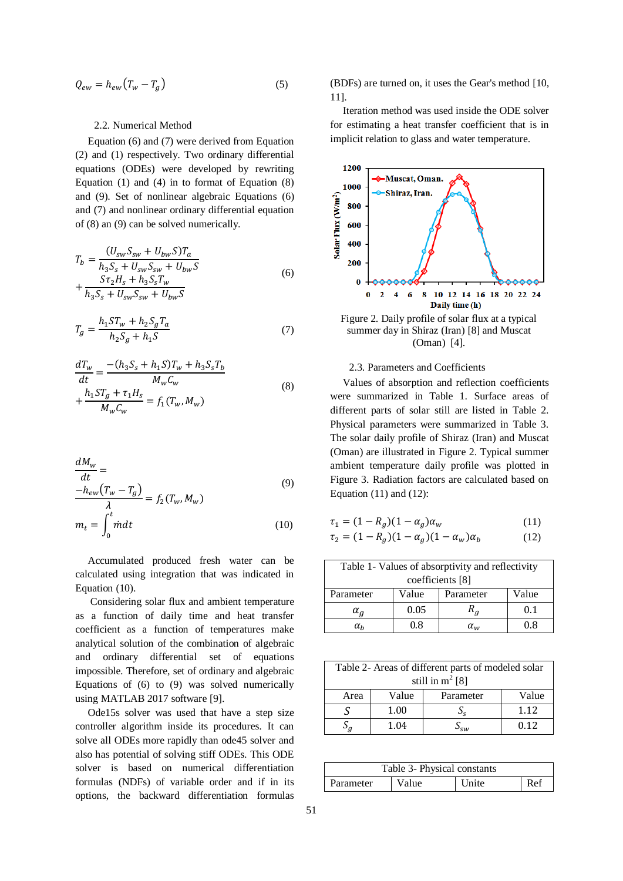$$
Q_{ew} = h_{ew}(T_w - T_g) \tag{5}
$$

#### 2.2. Numerical Method

Equation (6) and (7) were derived from Equation (2) and (1) respectively. Two ordinary differential equations (ODEs) were developed by rewriting Equation (1) and (4) in to format of Equation (8) and (9). Set of nonlinear algebraic Equations (6) and (7) and nonlinear ordinary differential equation of (8) an (9) can be solved numerically.

$$
T_b = \frac{(U_{sw}S_{sw} + U_{bw}S)T_a}{h_3S_s + U_{sw}S_{sw} + U_{bw}S} + \frac{S\tau_2H_s + h_3S_sT_w}{h_3S_s + U_{sw}S_{sw} + U_{bw}S}
$$
(6)

$$
T_g = \frac{h_1 S T_w + h_2 S_g T_a}{h_2 S_g + h_1 S}
$$
\n(7)

$$
\frac{dT_w}{dt} = \frac{-(h_3 S_s + h_1 S)T_w + h_3 S_s T_b}{M_w C_w} \n+ \frac{h_1 S T_g + \tau_1 H_s}{M_w C_w} = f_1(T_w, M_w)
$$
\n(8)

$$
\frac{dM_w}{dt} = \frac{-h_{ew}(T_w - T_g)}{\lambda} = f_2(T_w, M_w)
$$
\n
$$
m_t = \int_0^t \dot{m} dt
$$
\n(10)

Accumulated produced fresh water can be calculated using integration that was indicated in Equation (10).

Considering solar flux and ambient temperature as a function of daily time and heat transfer coefficient as a function of temperatures make analytical solution of the combination of algebraic and ordinary differential set of equations impossible. Therefore, set of ordinary and algebraic Equations of (6) to (9) was solved numerically using MATLAB 2017 software [9].

Ode15s solver was used that have a step size controller algorithm inside its procedures. It can solve all ODEs more rapidly than ode45 solver and also has potential of solving stiff ODEs. This ODE solver is based on numerical differentiation formulas (NDFs) of variable order and if in its options, the backward differentiation formulas

(BDFs) are turned on, it uses the Gear's method [10, 11].

Iteration method was used inside the ODE solver for estimating a heat transfer coefficient that is in implicit relation to glass and water temperature.





#### 2.3. Parameters and Coefficients

Values of absorption and reflection coefficients were summarized in Table 1. Surface areas of different parts of solar still are listed in Table 2. Physical parameters were summarized in Table 3. The solar daily profile of Shiraz (Iran) and Muscat (Oman) are illustrated in Figure 2. Typical summer ambient temperature daily profile was plotted in Figure 3. Radiation factors are calculated based on Equation  $(11)$  and  $(12)$ :

$$
\tau_1 = (1 - R_g)(1 - \alpha_g)\alpha_w
$$
\n(11)\n  
\n
$$
\tau_2 = (1 - R_g)(1 - \alpha_g)(1 - \alpha_w)\alpha_b
$$
\n(12)

| Table 1- Values of absorptivity and reflectivity |       |              |       |
|--------------------------------------------------|-------|--------------|-------|
| coefficients [8]                                 |       |              |       |
| Parameter                                        | Value | Parameter    | Value |
| $\alpha_a$                                       | 0.05  |              | 0.1   |
| $\alpha_h$                                       | 0.8   | $\alpha_{w}$ | 0.8   |

| Table 2- Areas of different parts of modeled solar |       |           |       |
|----------------------------------------------------|-------|-----------|-------|
| still in $m^2$ [8]                                 |       |           |       |
| Area                                               | Value | Parameter | Value |
|                                                    | 1.00  |           | 1.12  |
|                                                    | 1.04  | $\sim$    | 0.12  |

| Table 3- Physical constants |       |       |     |
|-----------------------------|-------|-------|-----|
| Parameter                   | Value | Unite | Ref |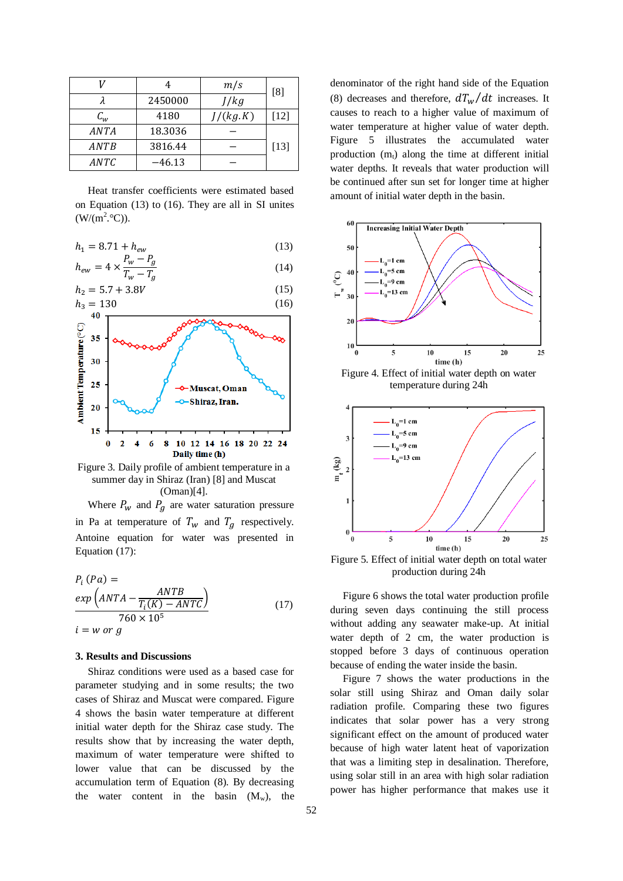|                   | 4       | m/s      | [8]    |
|-------------------|---------|----------|--------|
|                   | 2450000 | J/kg     |        |
| $\mathcal{C}_{w}$ | 4180    | J/(kg.K) | $[12]$ |
| ANTA              | 18.3036 |          |        |
| ANTB              | 3816.44 |          | $[13]$ |
| ANTC              | –46.13  |          |        |

Heat transfer coefficients were estimated based on Equation (13) to (16). They are all in SI unites  $(W/(m^2.°C)).$ 

$$
h_1 = 8.71 + h_{ew} \tag{13}
$$

$$
h_{ew} = 4 \times \frac{P_w - P_g}{T_w - T_a} \tag{14}
$$

$$
h_2 = 5.7 + 3.8V \tag{15}
$$



Figure 3. Daily profile of ambient temperature in a summer day in Shiraz (Iran) [8] and Muscat (Oman)[4].

Where  $P_w$  and  $P_g$  are water saturation pressure in Pa at temperature of  $T_w$  and  $T_a$  respectively. Antoine equation for water was presented in Equation (17):

$$
P_i (Pa) =
$$
  
\n
$$
exp (ANTA - \frac{ANTB}{T_i(K) - ANTC})
$$
  
\n
$$
760 \times 10^5
$$
  
\n
$$
i = w \text{ or } g
$$
 (17)

#### **3. Results and Discussions**

Shiraz conditions were used as a based case for parameter studying and in some results; the two cases of Shiraz and Muscat were compared. Figure 4 shows the basin water temperature at different initial water depth for the Shiraz case study. The results show that by increasing the water depth, maximum of water temperature were shifted to lower value that can be discussed by the accumulation term of Equation (8). By decreasing the water content in the basin  $(M_w)$ , the denominator of the right hand side of the Equation (8) decreases and therefore,  $dT_w/dt$  increases. It causes to reach to a higher value of maximum of water temperature at higher value of water depth. Figure 5 illustrates the accumulated water production  $(m_t)$  along the time at different initial water depths. It reveals that water production will be continued after sun set for longer time at higher amount of initial water depth in the basin.



Figure 4. Effect of initial water depth on water temperature during 24h



Figure 5. Effect of initial water depth on total water production during 24h

Figure 6 shows the total water production profile during seven days continuing the still process without adding any seawater make-up. At initial water depth of 2 cm, the water production is stopped before 3 days of continuous operation because of ending the water inside the basin.

Figure 7 shows the water productions in the solar still using Shiraz and Oman daily solar radiation profile. Comparing these two figures indicates that solar power has a very strong significant effect on the amount of produced water because of high water latent heat of vaporization that was a limiting step in desalination. Therefore, using solar still in an area with high solar radiation power has higher performance that makes use it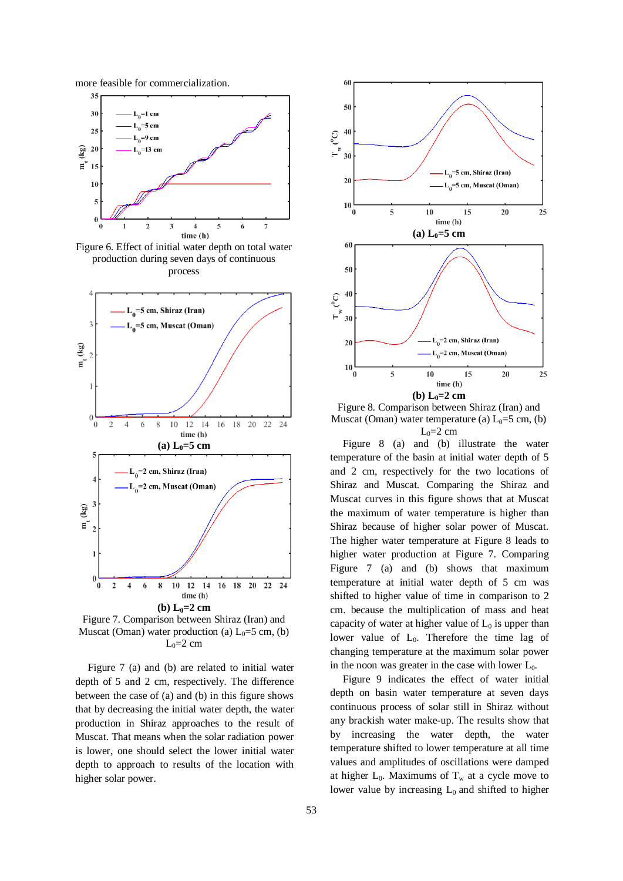more feasible for commercialization.



Figure 6. Effect of initial water depth on total water production during seven days of continuous process



Figure 7. Comparison between Shiraz (Iran) and Muscat (Oman) water production (a)  $L_0=5$  cm, (b)  $L_0=2$  cm

Figure 7 (a) and (b) are related to initial water depth of 5 and 2 cm, respectively. The difference between the case of (a) and (b) in this figure shows that by decreasing the initial water depth, the water production in Shiraz approaches to the result of Muscat. That means when the solar radiation power is lower, one should select the lower initial water depth to approach to results of the location with higher solar power.



Figure 8. Comparison between Shiraz (Iran) and Muscat (Oman) water temperature (a)  $L_0=5$  cm, (b)  $L_0=2$  cm

Figure 8 (a) and (b) illustrate the water temperature of the basin at initial water depth of 5 and 2 cm, respectively for the two locations of Shiraz and Muscat. Comparing the Shiraz and Muscat curves in this figure shows that at Muscat the maximum of water temperature is higher than Shiraz because of higher solar power of Muscat. The higher water temperature at Figure 8 leads to higher water production at Figure 7. Comparing Figure 7 (a) and (b) shows that maximum temperature at initial water depth of 5 cm was shifted to higher value of time in comparison to 2 cm. because the multiplication of mass and heat capacity of water at higher value of  $L_0$  is upper than lower value of  $L_0$ . Therefore the time lag of changing temperature at the maximum solar power in the noon was greater in the case with lower  $L_0$ .

Figure 9 indicates the effect of water initial depth on basin water temperature at seven days continuous process of solar still in Shiraz without any brackish water make-up. The results show that by increasing the water depth, the water temperature shifted to lower temperature at all time values and amplitudes of oscillations were damped at higher  $L_0$ . Maximums of  $T_w$  at a cycle move to lower value by increasing  $L_0$  and shifted to higher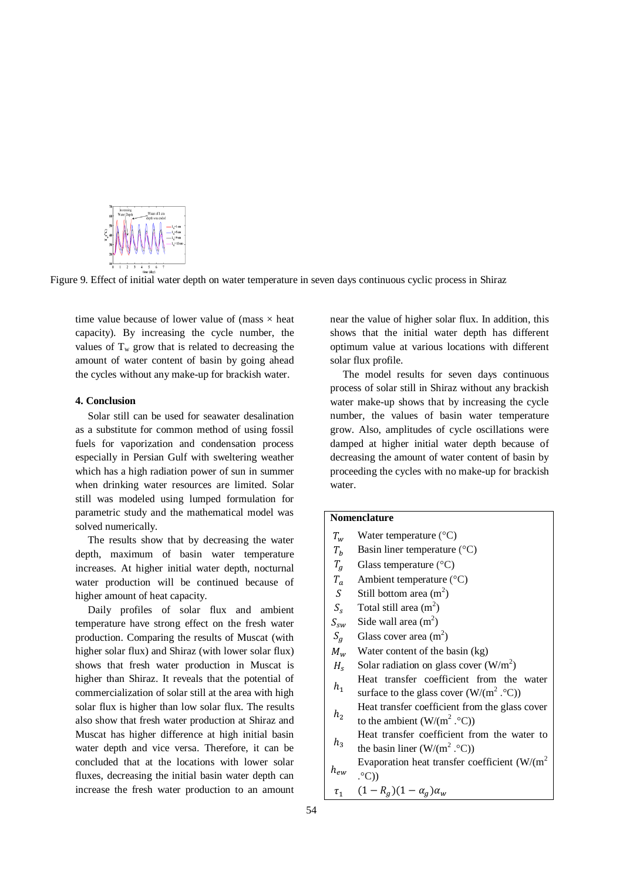

Figure 9. Effect of initial water depth on water temperature in seven days continuous cyclic process in Shiraz

time value because of lower value of (mass  $\times$  heat capacity). By increasing the cycle number, the values of  $T_w$  grow that is related to decreasing the amount of water content of basin by going ahead the cycles without any make-up for brackish water.

## **4. Conclusion**

Solar still can be used for seawater desalination as a substitute for common method of using fossil fuels for vaporization and condensation process especially in Persian Gulf with sweltering weather which has a high radiation power of sun in summer when drinking water resources are limited. Solar still was modeled using lumped formulation for parametric study and the mathematical model was solved numerically.

The results show that by decreasing the water depth, maximum of basin water temperature increases. At higher initial water depth, nocturnal water production will be continued because of higher amount of heat capacity.

Daily profiles of solar flux and ambient temperature have strong effect on the fresh water production. Comparing the results of Muscat (with higher solar flux) and Shiraz (with lower solar flux) shows that fresh water production in Muscat is higher than Shiraz. It reveals that the potential of commercialization of solar still at the area with high solar flux is higher than low solar flux. The results also show that fresh water production at Shiraz and Muscat has higher difference at high initial basin water depth and vice versa. Therefore, it can be concluded that at the locations with lower solar fluxes, decreasing the initial basin water depth can increase the fresh water production to an amount near the value of higher solar flux. In addition, this shows that the initial water depth has different optimum value at various locations with different solar flux profile.

The model results for seven days continuous process of solar still in Shiraz without any brackish water make-up shows that by increasing the cycle number, the values of basin water temperature grow. Also, amplitudes of cycle oscillations were damped at higher initial water depth because of decreasing the amount of water content of basin by proceeding the cycles with no make-up for brackish water.

### **Nomenclature**

- $T_w$  Water temperature (°C)
- $T_h$  Basin liner temperature (°C)
- $T_a$  Glass temperature (°C)
- $T_a$  Ambient temperature (°C)
- S Still bottom area  $(m^2)$
- $S_s$  Total still area (m<sup>2</sup>)
- $S_{sw}$  Side wall area (m<sup>2</sup>)
- $S_a$  Glass cover area (m<sup>2</sup>)
- $M_w$  Water content of the basin (kg)
- $H_s$  Solar radiation on glass cover (W/m<sup>2</sup>)
- $h_1$ Heat transfer coefficient from the water surface to the glass cover  $(W/(m^2 \cdot ^{\circ}C))$
- $h<sub>2</sub>$ Heat transfer coefficient from the glass cover to the ambient  $(W/(m^2 \cdot ^{\circ}C))$
- $h<sub>2</sub>$ Heat transfer coefficient from the water to the basin liner  $(W/(m^2 \cdot ^{\circ}C))$
- $h_{ew}$ Evaporation heat transfer coefficient  $(W/(m^2))$  $(C)^\circ$ .
- $\tau_1$  $(1 - R_a)(1 - \alpha_a)\alpha_w$